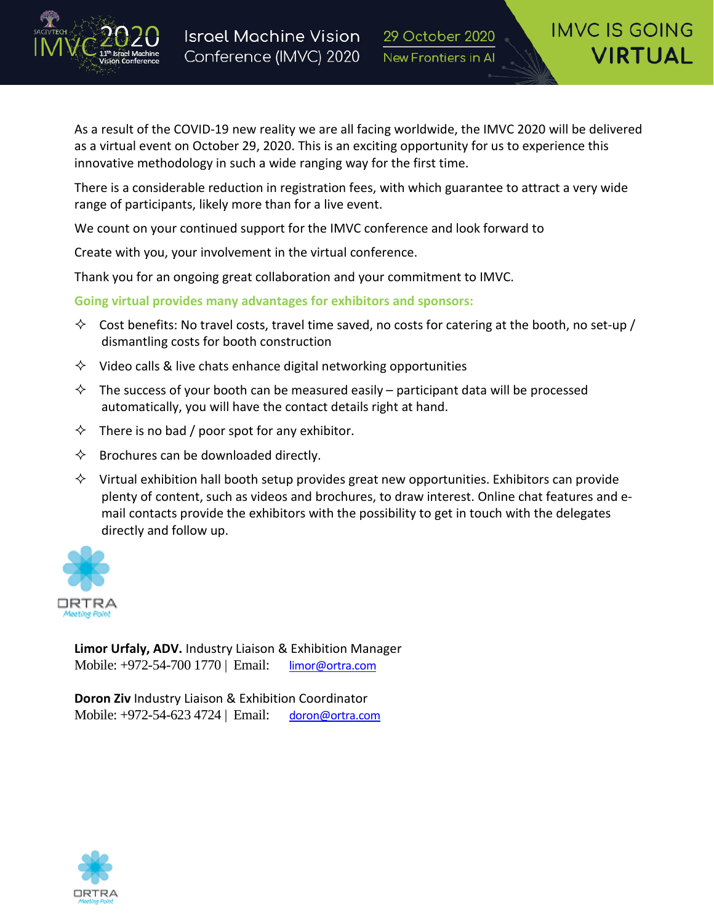

As a result of the COVID-19 new reality we are all facing worldwide, the IMVC 2020 will be delivered as a virtual event on October 29, 2020. This is an exciting opportunity for us to experience this innovative methodology in such a wide ranging way for the first time.

There is a considerable reduction in registration fees, with which guarantee to attract a very wide range of participants, likely more than for a live event.

We count on your continued support for the IMVC conference and look forward to

Create with you, your involvement in the virtual conference.

Thank you for an ongoing great collaboration and your commitment to IMVC.

**Going virtual provides many advantages for exhibitors and sponsors:**

- $\diamond$  Cost benefits: No travel costs, travel time saved, no costs for catering at the booth, no set-up / dismantling costs for booth construction
- $\Diamond$  Video calls & live chats enhance digital networking opportunities
- $\Diamond$  The success of your booth can be measured easily participant data will be processed automatically, you will have the contact details right at hand.
- $\Diamond$  There is no bad / poor spot for any exhibitor.
- $\Diamond$  Brochures can be downloaded directly.
- $\Diamond$  Virtual exhibition hall booth setup provides great new opportunities. Exhibitors can provide plenty of content, such as videos and brochures, to draw interest. Online chat features and email contacts provide the exhibitors with the possibility to get in touch with the delegates directly and follow up.



**Limor Urfaly, ADV.** Industry Liaison & Exhibition Manager Mobile: +972-54-700 1770 | Email: [limor@ortra.com](mailto:limor@ortra.com)

**Doron Ziv** Industry Liaison & Exhibition Coordinator Mobile: +972-54-623 4724 | Email: [doron@ortra.com](mailto:doron@ortra.com)

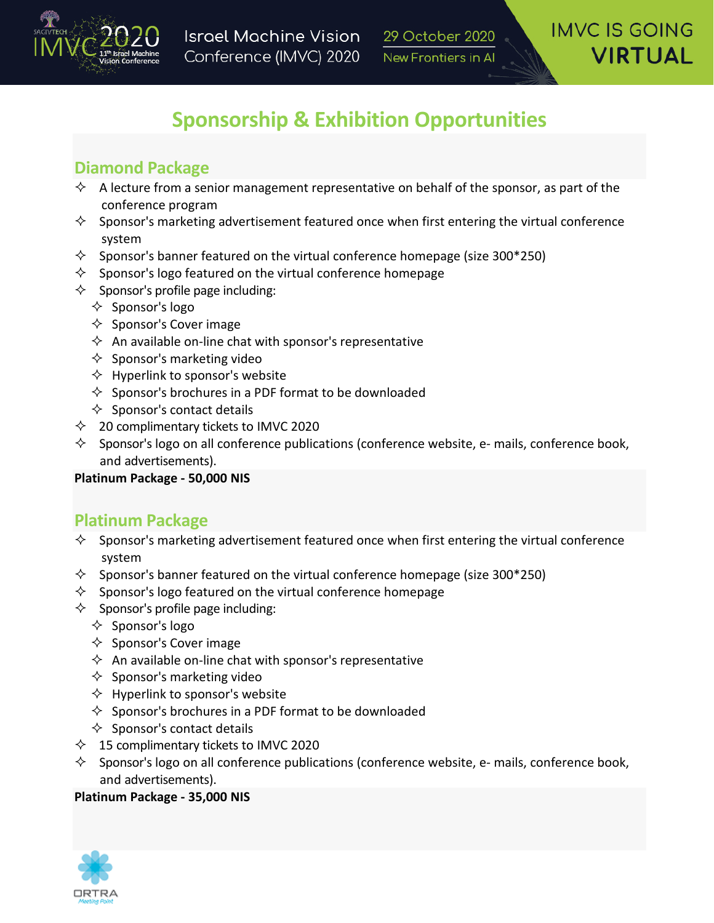

# **Sponsorship & Exhibition Opportunities**

# **Diamond Package**

- $\Diamond$  A lecture from a senior management representative on behalf of the sponsor, as part of the conference program
- $\diamond$  Sponsor's marketing advertisement featured once when first entering the virtual conference system
- $\Diamond$  Sponsor's banner featured on the virtual conference homepage (size 300\*250)
- $\Diamond$  Sponsor's logo featured on the virtual conference homepage
- $\Diamond$  Sponsor's profile page including:
	- $\Diamond$  Sponsor's logo
	- $\Diamond$  Sponsor's Cover image
	- $\Diamond$  An available on-line chat with sponsor's representative
	- $\Diamond$  Sponsor's marketing video
	- $\Diamond$  Hyperlink to sponsor's website
	- $\Diamond$  Sponsor's brochures in a PDF format to be downloaded
	- $\Diamond$  Sponsor's contact details
- $\lozenge$  20 complimentary tickets to IMVC 2020
- $\diamond$  Sponsor's logo on all conference publications (conference website, e- mails, conference book, and advertisements).

### **Platinum Package - 50,000 NIS**

### **Platinum Package**

- $\diamond$  Sponsor's marketing advertisement featured once when first entering the virtual conference system
- $\Diamond$  Sponsor's banner featured on the virtual conference homepage (size 300\*250)
- $\diamond$  Sponsor's logo featured on the virtual conference homepage
- $\Diamond$  Sponsor's profile page including:
	- $\Diamond$  Sponsor's logo
	- $\Diamond$  Sponsor's Cover image
	- $\Diamond$  An available on-line chat with sponsor's representative
	- $\Diamond$  Sponsor's marketing video
	- $\Diamond$  Hyperlink to sponsor's website
	- $\Diamond$  Sponsor's brochures in a PDF format to be downloaded
	- $\Diamond$  Sponsor's contact details
- $\lozenge$  15 complimentary tickets to IMVC 2020
- $\diamond$  Sponsor's logo on all conference publications (conference website, e- mails, conference book, and advertisements).

#### **Platinum Package - 35,000 NIS**

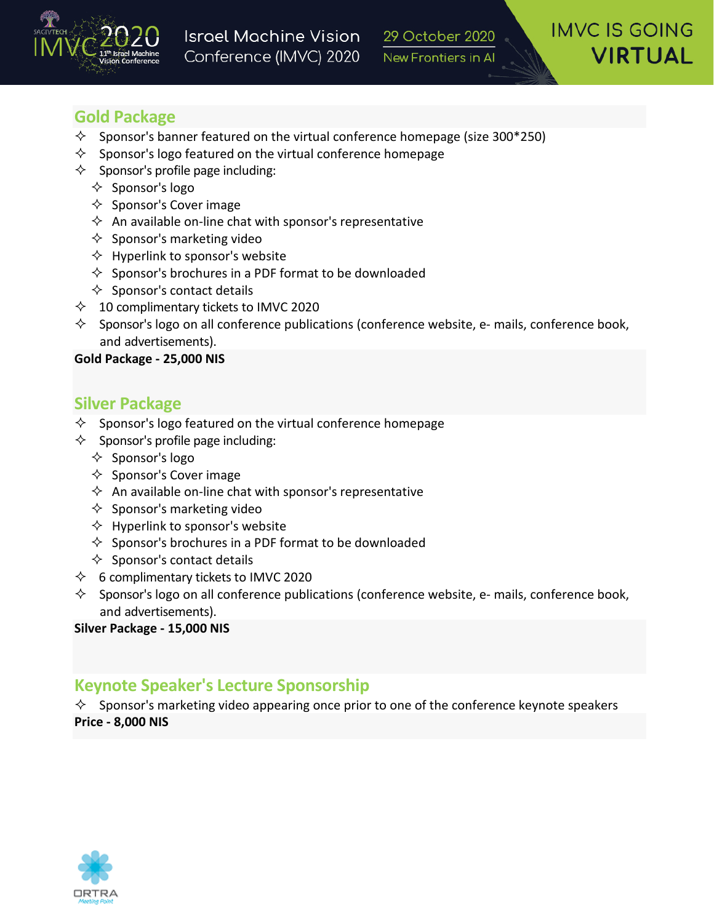

# **Gold Package**

- $\Diamond$  Sponsor's banner featured on the virtual conference homepage (size 300\*250)
- $\Diamond$  Sponsor's logo featured on the virtual conference homepage
- $\Diamond$  Sponsor's profile page including:
	- $\Diamond$  Sponsor's logo
	- $\diamondsuit$  Sponsor's Cover image
	- $\Diamond$  An available on-line chat with sponsor's representative
	- $\Diamond$  Sponsor's marketing video
	- $\Diamond$  Hyperlink to sponsor's website
	- $\Diamond$  Sponsor's brochures in a PDF format to be downloaded
	- $\Diamond$  Sponsor's contact details
- $\lozenge$  10 complimentary tickets to IMVC 2020
- $\Diamond$  Sponsor's logo on all conference publications (conference website, e- mails, conference book, and advertisements).

#### **Gold Package - 25,000 NIS**

### **Silver Package**

- $\Diamond$  Sponsor's logo featured on the virtual conference homepage
- $\Diamond$  Sponsor's profile page including:
	- $\Diamond$  Sponsor's logo
	- $\Diamond$  Sponsor's Cover image
	- $\Diamond$  An available on-line chat with sponsor's representative
	- $\Diamond$  Sponsor's marketing video
	- $\Diamond$  Hyperlink to sponsor's website
	- $\Diamond$  Sponsor's brochures in a PDF format to be downloaded
	- $\Diamond$  Sponsor's contact details
- $\lozenge$  6 complimentary tickets to IMVC 2020
- $\Diamond$  Sponsor's logo on all conference publications (conference website, e- mails, conference book, and advertisements).

#### **Silver Package - 15,000 NIS**

# **Keynote Speaker's Lecture Sponsorship**

 $\diamond$  Sponsor's marketing video appearing once prior to one of the conference keynote speakers **Price - 8,000 NIS**

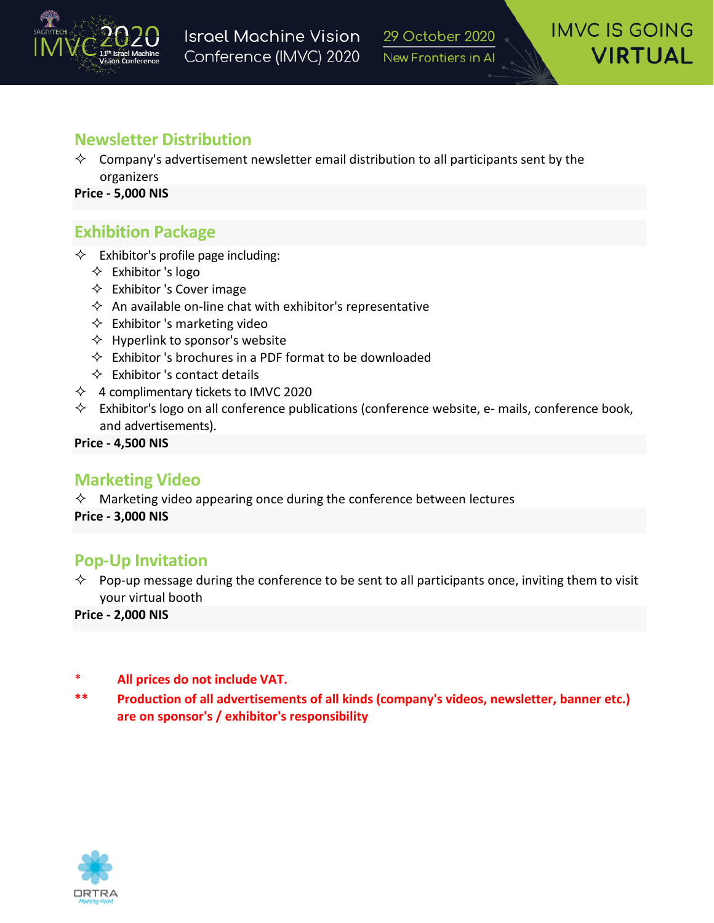

## **Newsletter Distribution**

 $\Diamond$  Company's advertisement newsletter email distribution to all participants sent by the organizers

**Price - 5,000 NIS**

# **Exhibition Package**

- $\Diamond$  Exhibitor's profile page including:
	- $\Diamond$  Exhibitor 's logo
	- $\Diamond$  Exhibitor 's Cover image
	- $\Diamond$  An available on-line chat with exhibitor's representative
	- $\Diamond$  Exhibitor 's marketing video
	- $\Diamond$  Hyperlink to sponsor's website
	- $\Diamond$  Exhibitor 's brochures in a PDF format to be downloaded
	- $\Diamond$  Exhibitor 's contact details
- $\lozenge$  4 complimentary tickets to IMVC 2020
- $\Diamond$  Exhibitor's logo on all conference publications (conference website, e- mails, conference book, and advertisements).

**Price - 4,500 NIS**

### **Marketing Video**

 $\Diamond$  Marketing video appearing once during the conference between lectures

**Price - 3,000 NIS**

### **Pop-Up Invitation**

 $\Diamond$  Pop-up message during the conference to be sent to all participants once, inviting them to visit your virtual booth

**Price - 2,000 NIS**

- \* **All prices do not include VAT.**
- **\*\* Production of all advertisements of all kinds (company's videos, newsletter, banner etc.) are on sponsor's / exhibitor's responsibility**

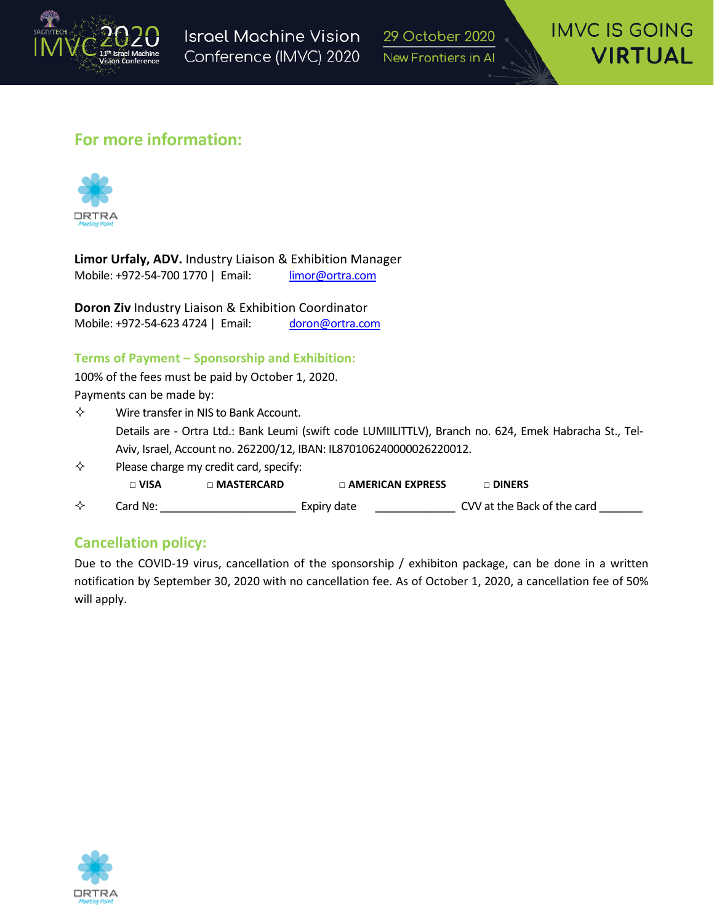

29 October 2020 New Frontiers in Al

### **For more information:**



**Limor Urfaly, ADV.** Industry Liaison & Exhibition Manager Mobile: +972-54-700 1770 | Email: [limor@ortra.com](mailto:limor@ortra.com)

**Doron Ziv** Industry Liaison & Exhibition Coordinator Mobile: +972-54-623 4724 | Email: [doron@ortra.com](mailto:doron@ortra.com)

#### **Terms of Payment – Sponsorship and Exhibition:**

100% of the fees must be paid by October 1, 2020. Payments can be made by:

- $\diamond$  Wire transfer in NIS to Bank Account. Details are - Ortra Ltd.: Bank Leumi (swift code LUMIILITTLV), Branch no. 624, Emek Habracha St., Tel-Aviv, Israel, Account no. 262200/12, IBAN: IL870106240000026220012.
- $\diamond$  Please charge my credit card, specify: **□ VISA □ MASTERCARD □ AMERICAN EXPRESS □ DINERS** Card №: \_\_\_\_\_\_\_\_\_\_\_\_\_\_\_\_\_\_\_\_\_\_ Expiry date \_\_\_\_\_\_\_\_\_\_\_\_\_ CVV at the Back of the card \_\_\_\_\_\_\_

### **Cancellation policy:**

Due to the COVID-19 virus, cancellation of the sponsorship / exhibiton package, can be done in a written notification by September 30, 2020 with no cancellation fee. As of October 1, 2020, a cancellation fee of 50% will apply.